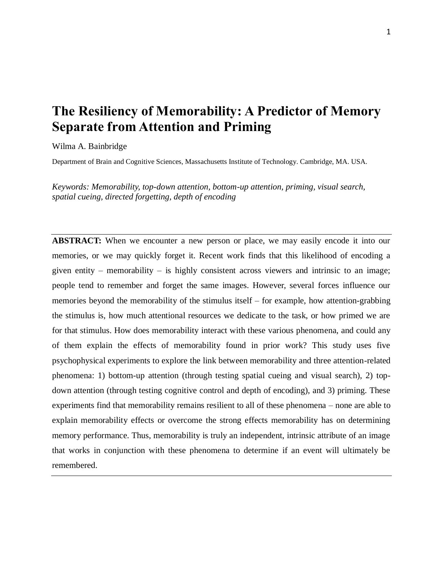# **The Resiliency of Memorability: A Predictor of Memory Separate from Attention and Priming**

Wilma A. Bainbridge

Department of Brain and Cognitive Sciences, Massachusetts Institute of Technology. Cambridge, MA. USA.

*Keywords: Memorability, top-down attention, bottom-up attention, priming, visual search, spatial cueing, directed forgetting, depth of encoding* 

**ABSTRACT:** When we encounter a new person or place, we may easily encode it into our memories, or we may quickly forget it. Recent work finds that this likelihood of encoding a given entity – memorability – is highly consistent across viewers and intrinsic to an image; people tend to remember and forget the same images. However, several forces influence our memories beyond the memorability of the stimulus itself – for example, how attention-grabbing the stimulus is, how much attentional resources we dedicate to the task, or how primed we are for that stimulus. How does memorability interact with these various phenomena, and could any of them explain the effects of memorability found in prior work? This study uses five psychophysical experiments to explore the link between memorability and three attention-related phenomena: 1) bottom-up attention (through testing spatial cueing and visual search), 2) topdown attention (through testing cognitive control and depth of encoding), and 3) priming. These experiments find that memorability remains resilient to all of these phenomena – none are able to explain memorability effects or overcome the strong effects memorability has on determining memory performance. Thus, memorability is truly an independent, intrinsic attribute of an image that works in conjunction with these phenomena to determine if an event will ultimately be remembered.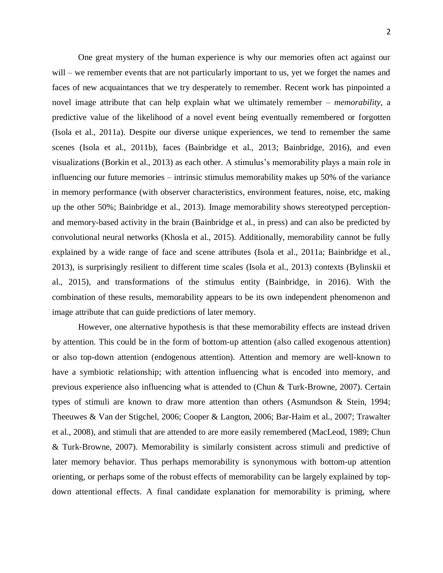One great mystery of the human experience is why our memories often act against our will – we remember events that are not particularly important to us, yet we forget the names and faces of new acquaintances that we try desperately to remember. Recent work has pinpointed a novel image attribute that can help explain what we ultimately remember – *memorability*, a predictive value of the likelihood of a novel event being eventually remembered or forgotten (Isola et al., 2011a). Despite our diverse unique experiences, we tend to remember the same scenes (Isola et al., 2011b), faces (Bainbridge et al., 2013; Bainbridge, 2016), and even visualizations (Borkin et al., 2013) as each other. A stimulus's memorability plays a main role in influencing our future memories – intrinsic stimulus memorability makes up 50% of the variance in memory performance (with observer characteristics, environment features, noise, etc, making up the other 50%; Bainbridge et al., 2013). Image memorability shows stereotyped perceptionand memory-based activity in the brain (Bainbridge et al., in press) and can also be predicted by convolutional neural networks (Khosla et al., 2015). Additionally, memorability cannot be fully explained by a wide range of face and scene attributes (Isola et al., 2011a; Bainbridge et al., 2013), is surprisingly resilient to different time scales (Isola et al., 2013) contexts (Bylinskii et al., 2015), and transformations of the stimulus entity (Bainbridge, in 2016). With the combination of these results, memorability appears to be its own independent phenomenon and image attribute that can guide predictions of later memory.

However, one alternative hypothesis is that these memorability effects are instead driven by attention. This could be in the form of bottom-up attention (also called exogenous attention) or also top-down attention (endogenous attention). Attention and memory are well-known to have a symbiotic relationship; with attention influencing what is encoded into memory, and previous experience also influencing what is attended to (Chun & Turk-Browne, 2007). Certain types of stimuli are known to draw more attention than others (Asmundson & Stein, 1994; Theeuwes & Van der Stigchel, 2006; Cooper & Langton, 2006; Bar-Haim et al., 2007; Trawalter et al., 2008), and stimuli that are attended to are more easily remembered (MacLeod, 1989; Chun & Turk-Browne, 2007). Memorability is similarly consistent across stimuli and predictive of later memory behavior. Thus perhaps memorability is synonymous with bottom-up attention orienting, or perhaps some of the robust effects of memorability can be largely explained by topdown attentional effects. A final candidate explanation for memorability is priming, where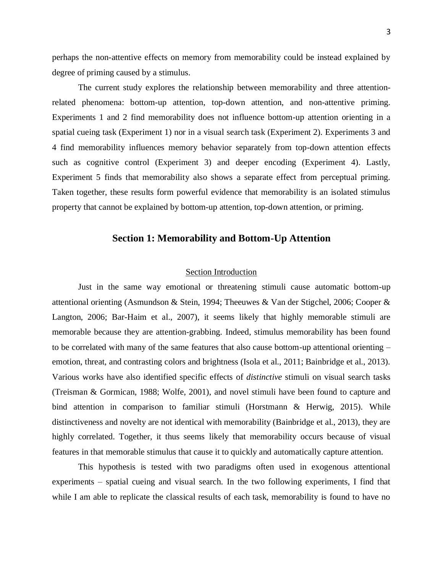perhaps the non-attentive effects on memory from memorability could be instead explained by degree of priming caused by a stimulus.

The current study explores the relationship between memorability and three attentionrelated phenomena: bottom-up attention, top-down attention, and non-attentive priming. Experiments 1 and 2 find memorability does not influence bottom-up attention orienting in a spatial cueing task (Experiment 1) nor in a visual search task (Experiment 2). Experiments 3 and 4 find memorability influences memory behavior separately from top-down attention effects such as cognitive control (Experiment 3) and deeper encoding (Experiment 4). Lastly, Experiment 5 finds that memorability also shows a separate effect from perceptual priming. Taken together, these results form powerful evidence that memorability is an isolated stimulus property that cannot be explained by bottom-up attention, top-down attention, or priming.

# **Section 1: Memorability and Bottom-Up Attention**

# Section Introduction

Just in the same way emotional or threatening stimuli cause automatic bottom-up attentional orienting (Asmundson & Stein, 1994; Theeuwes & Van der Stigchel, 2006; Cooper & Langton, 2006; Bar-Haim et al., 2007), it seems likely that highly memorable stimuli are memorable because they are attention-grabbing. Indeed, stimulus memorability has been found to be correlated with many of the same features that also cause bottom-up attentional orienting – emotion, threat, and contrasting colors and brightness (Isola et al., 2011; Bainbridge et al., 2013). Various works have also identified specific effects of *distinctive* stimuli on visual search tasks (Treisman & Gormican, 1988; Wolfe, 2001), and novel stimuli have been found to capture and bind attention in comparison to familiar stimuli (Horstmann & Herwig, 2015). While distinctiveness and novelty are not identical with memorability (Bainbridge et al., 2013), they are highly correlated. Together, it thus seems likely that memorability occurs because of visual features in that memorable stimulus that cause it to quickly and automatically capture attention.

This hypothesis is tested with two paradigms often used in exogenous attentional experiments – spatial cueing and visual search. In the two following experiments, I find that while I am able to replicate the classical results of each task, memorability is found to have no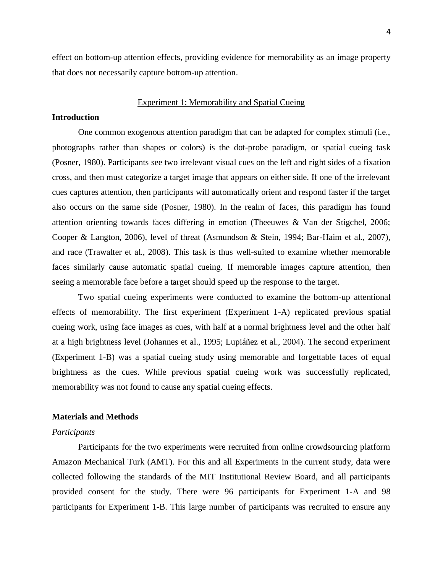effect on bottom-up attention effects, providing evidence for memorability as an image property that does not necessarily capture bottom-up attention.

#### Experiment 1: Memorability and Spatial Cueing

#### **Introduction**

One common exogenous attention paradigm that can be adapted for complex stimuli (i.e., photographs rather than shapes or colors) is the dot-probe paradigm, or spatial cueing task (Posner, 1980). Participants see two irrelevant visual cues on the left and right sides of a fixation cross, and then must categorize a target image that appears on either side. If one of the irrelevant cues captures attention, then participants will automatically orient and respond faster if the target also occurs on the same side (Posner, 1980). In the realm of faces, this paradigm has found attention orienting towards faces differing in emotion (Theeuwes & Van der Stigchel, 2006; Cooper & Langton, 2006), level of threat (Asmundson & Stein, 1994; Bar-Haim et al., 2007), and race (Trawalter et al., 2008). This task is thus well-suited to examine whether memorable faces similarly cause automatic spatial cueing. If memorable images capture attention, then seeing a memorable face before a target should speed up the response to the target.

Two spatial cueing experiments were conducted to examine the bottom-up attentional effects of memorability. The first experiment (Experiment 1-A) replicated previous spatial cueing work, using face images as cues, with half at a normal brightness level and the other half at a high brightness level (Johannes et al., 1995; Lupiáñez et al., 2004). The second experiment (Experiment 1-B) was a spatial cueing study using memorable and forgettable faces of equal brightness as the cues. While previous spatial cueing work was successfully replicated, memorability was not found to cause any spatial cueing effects.

#### **Materials and Methods**

#### *Participants*

Participants for the two experiments were recruited from online crowdsourcing platform Amazon Mechanical Turk (AMT). For this and all Experiments in the current study, data were collected following the standards of the MIT Institutional Review Board, and all participants provided consent for the study. There were 96 participants for Experiment 1-A and 98 participants for Experiment 1-B. This large number of participants was recruited to ensure any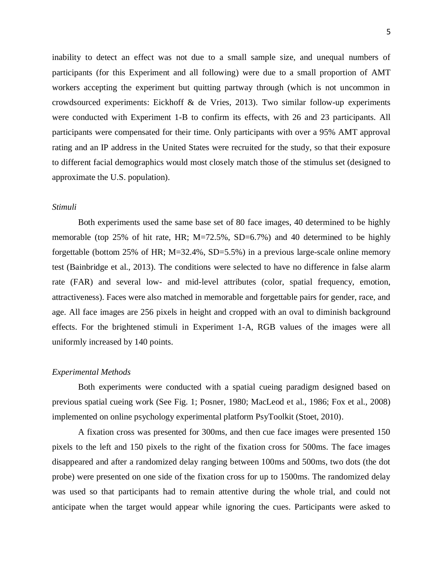inability to detect an effect was not due to a small sample size, and unequal numbers of participants (for this Experiment and all following) were due to a small proportion of AMT workers accepting the experiment but quitting partway through (which is not uncommon in crowdsourced experiments: Eickhoff & de Vries, 2013). Two similar follow-up experiments were conducted with Experiment 1-B to confirm its effects, with 26 and 23 participants. All participants were compensated for their time. Only participants with over a 95% AMT approval rating and an IP address in the United States were recruited for the study, so that their exposure to different facial demographics would most closely match those of the stimulus set (designed to approximate the U.S. population).

# *Stimuli*

Both experiments used the same base set of 80 face images, 40 determined to be highly memorable (top 25% of hit rate, HR; M=72.5%, SD=6.7%) and 40 determined to be highly forgettable (bottom 25% of HR; M=32.4%, SD=5.5%) in a previous large-scale online memory test (Bainbridge et al., 2013). The conditions were selected to have no difference in false alarm rate (FAR) and several low- and mid-level attributes (color, spatial frequency, emotion, attractiveness). Faces were also matched in memorable and forgettable pairs for gender, race, and age. All face images are 256 pixels in height and cropped with an oval to diminish background effects. For the brightened stimuli in Experiment 1-A, RGB values of the images were all uniformly increased by 140 points.

#### *Experimental Methods*

Both experiments were conducted with a spatial cueing paradigm designed based on previous spatial cueing work (See Fig. 1; Posner, 1980; MacLeod et al., 1986; Fox et al., 2008) implemented on online psychology experimental platform PsyToolkit (Stoet, 2010).

A fixation cross was presented for 300ms, and then cue face images were presented 150 pixels to the left and 150 pixels to the right of the fixation cross for 500ms. The face images disappeared and after a randomized delay ranging between 100ms and 500ms, two dots (the dot probe) were presented on one side of the fixation cross for up to 1500ms. The randomized delay was used so that participants had to remain attentive during the whole trial, and could not anticipate when the target would appear while ignoring the cues. Participants were asked to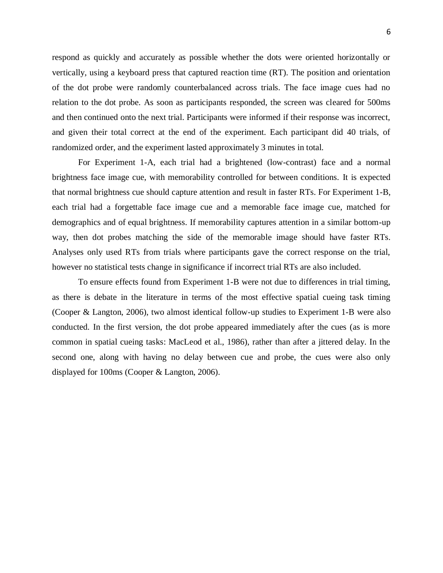respond as quickly and accurately as possible whether the dots were oriented horizontally or vertically, using a keyboard press that captured reaction time (RT). The position and orientation of the dot probe were randomly counterbalanced across trials. The face image cues had no relation to the dot probe. As soon as participants responded, the screen was cleared for 500ms and then continued onto the next trial. Participants were informed if their response was incorrect, and given their total correct at the end of the experiment. Each participant did 40 trials, of randomized order, and the experiment lasted approximately 3 minutes in total.

For Experiment 1-A, each trial had a brightened (low-contrast) face and a normal brightness face image cue, with memorability controlled for between conditions. It is expected that normal brightness cue should capture attention and result in faster RTs. For Experiment 1-B, each trial had a forgettable face image cue and a memorable face image cue, matched for demographics and of equal brightness. If memorability captures attention in a similar bottom-up way, then dot probes matching the side of the memorable image should have faster RTs. Analyses only used RTs from trials where participants gave the correct response on the trial, however no statistical tests change in significance if incorrect trial RTs are also included.

To ensure effects found from Experiment 1-B were not due to differences in trial timing, as there is debate in the literature in terms of the most effective spatial cueing task timing (Cooper & Langton, 2006), two almost identical follow-up studies to Experiment 1-B were also conducted. In the first version, the dot probe appeared immediately after the cues (as is more common in spatial cueing tasks: MacLeod et al., 1986), rather than after a jittered delay. In the second one, along with having no delay between cue and probe, the cues were also only displayed for 100ms (Cooper & Langton, 2006).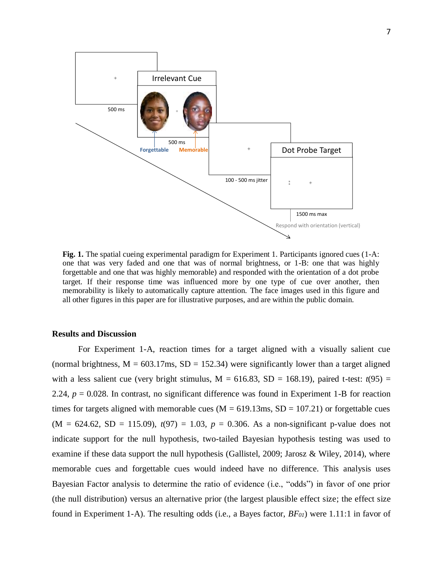

**Fig. 1.** The spatial cueing experimental paradigm for Experiment 1. Participants ignored cues (1-A: one that was very faded and one that was of normal brightness, or 1-B: one that was highly forgettable and one that was highly memorable) and responded with the orientation of a dot probe target. If their response time was influenced more by one type of cue over another, then memorability is likely to automatically capture attention. The face images used in this figure and all other figures in this paper are for illustrative purposes, and are within the public domain.

# **Results and Discussion**

For Experiment 1-A, reaction times for a target aligned with a visually salient cue (normal brightness,  $M = 603.17$ ms,  $SD = 152.34$ ) were significantly lower than a target aligned with a less salient cue (very bright stimulus,  $M = 616.83$ ,  $SD = 168.19$ ), paired t-test:  $t(95) =$ 2.24, *p* = 0.028. In contrast, no significant difference was found in Experiment 1-B for reaction times for targets aligned with memorable cues ( $M = 619.13$ ms,  $SD = 107.21$ ) or forgettable cues  $(M = 624.62, SD = 115.09), t(97) = 1.03, p = 0.306$ . As a non-significant p-value does not indicate support for the null hypothesis, two-tailed Bayesian hypothesis testing was used to examine if these data support the null hypothesis (Gallistel, 2009; Jarosz & Wiley, 2014), where memorable cues and forgettable cues would indeed have no difference. This analysis uses Bayesian Factor analysis to determine the ratio of evidence (i.e., "odds") in favor of one prior (the null distribution) versus an alternative prior (the largest plausible effect size; the effect size found in Experiment 1-A). The resulting odds (i.e., a Bayes factor, *BF01*) were 1.11:1 in favor of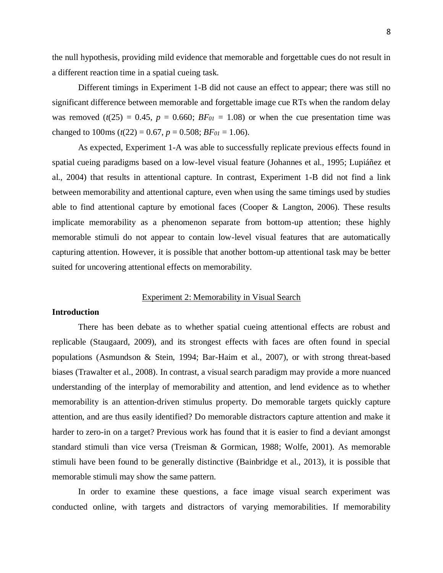the null hypothesis, providing mild evidence that memorable and forgettable cues do not result in a different reaction time in a spatial cueing task.

Different timings in Experiment 1-B did not cause an effect to appear; there was still no significant difference between memorable and forgettable image cue RTs when the random delay was removed  $(t(25) = 0.45$ ,  $p = 0.660$ ;  $BF_{01} = 1.08$ ) or when the cue presentation time was changed to 100ms  $(t(22) = 0.67, p = 0.508; BF_{01} = 1.06)$ .

As expected, Experiment 1-A was able to successfully replicate previous effects found in spatial cueing paradigms based on a low-level visual feature (Johannes et al., 1995; Lupiáñez et al., 2004) that results in attentional capture. In contrast, Experiment 1-B did not find a link between memorability and attentional capture, even when using the same timings used by studies able to find attentional capture by emotional faces (Cooper & Langton, 2006). These results implicate memorability as a phenomenon separate from bottom-up attention; these highly memorable stimuli do not appear to contain low-level visual features that are automatically capturing attention. However, it is possible that another bottom-up attentional task may be better suited for uncovering attentional effects on memorability.

# Experiment 2: Memorability in Visual Search

# **Introduction**

There has been debate as to whether spatial cueing attentional effects are robust and replicable (Staugaard, 2009), and its strongest effects with faces are often found in special populations (Asmundson & Stein, 1994; Bar-Haim et al., 2007), or with strong threat-based biases (Trawalter et al., 2008). In contrast, a visual search paradigm may provide a more nuanced understanding of the interplay of memorability and attention, and lend evidence as to whether memorability is an attention-driven stimulus property. Do memorable targets quickly capture attention, and are thus easily identified? Do memorable distractors capture attention and make it harder to zero-in on a target? Previous work has found that it is easier to find a deviant amongst standard stimuli than vice versa (Treisman & Gormican, 1988; Wolfe, 2001). As memorable stimuli have been found to be generally distinctive (Bainbridge et al., 2013), it is possible that memorable stimuli may show the same pattern.

In order to examine these questions, a face image visual search experiment was conducted online, with targets and distractors of varying memorabilities. If memorability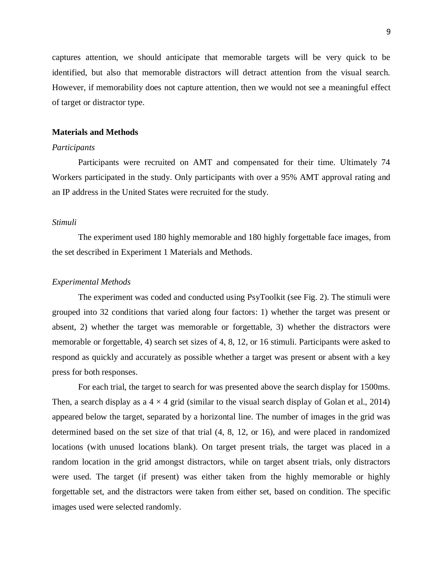captures attention, we should anticipate that memorable targets will be very quick to be identified, but also that memorable distractors will detract attention from the visual search. However, if memorability does not capture attention, then we would not see a meaningful effect of target or distractor type.

#### **Materials and Methods**

# *Participants*

Participants were recruited on AMT and compensated for their time. Ultimately 74 Workers participated in the study. Only participants with over a 95% AMT approval rating and an IP address in the United States were recruited for the study.

#### *Stimuli*

The experiment used 180 highly memorable and 180 highly forgettable face images, from the set described in Experiment 1 Materials and Methods.

#### *Experimental Methods*

The experiment was coded and conducted using PsyToolkit (see Fig. 2). The stimuli were grouped into 32 conditions that varied along four factors: 1) whether the target was present or absent, 2) whether the target was memorable or forgettable, 3) whether the distractors were memorable or forgettable, 4) search set sizes of 4, 8, 12, or 16 stimuli. Participants were asked to respond as quickly and accurately as possible whether a target was present or absent with a key press for both responses.

For each trial, the target to search for was presented above the search display for 1500ms. Then, a search display as a  $4 \times 4$  grid (similar to the visual search display of Golan et al., 2014) appeared below the target, separated by a horizontal line. The number of images in the grid was determined based on the set size of that trial (4, 8, 12, or 16), and were placed in randomized locations (with unused locations blank). On target present trials, the target was placed in a random location in the grid amongst distractors, while on target absent trials, only distractors were used. The target (if present) was either taken from the highly memorable or highly forgettable set, and the distractors were taken from either set, based on condition. The specific images used were selected randomly.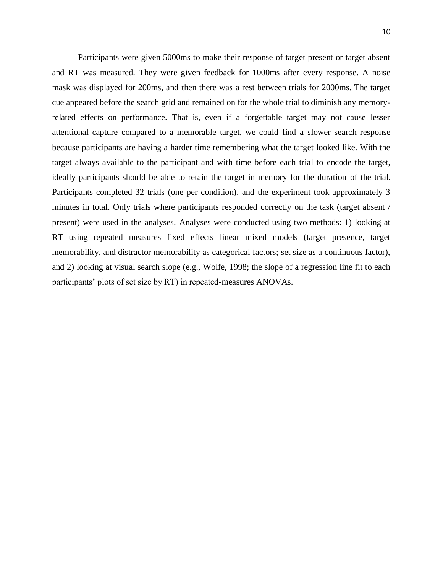Participants were given 5000ms to make their response of target present or target absent and RT was measured. They were given feedback for 1000ms after every response. A noise mask was displayed for 200ms, and then there was a rest between trials for 2000ms. The target cue appeared before the search grid and remained on for the whole trial to diminish any memoryrelated effects on performance. That is, even if a forgettable target may not cause lesser attentional capture compared to a memorable target, we could find a slower search response because participants are having a harder time remembering what the target looked like. With the target always available to the participant and with time before each trial to encode the target, ideally participants should be able to retain the target in memory for the duration of the trial. Participants completed 32 trials (one per condition), and the experiment took approximately 3 minutes in total. Only trials where participants responded correctly on the task (target absent / present) were used in the analyses. Analyses were conducted using two methods: 1) looking at RT using repeated measures fixed effects linear mixed models (target presence, target memorability, and distractor memorability as categorical factors; set size as a continuous factor), and 2) looking at visual search slope (e.g., Wolfe, 1998; the slope of a regression line fit to each participants' plots of set size by RT) in repeated-measures ANOVAs.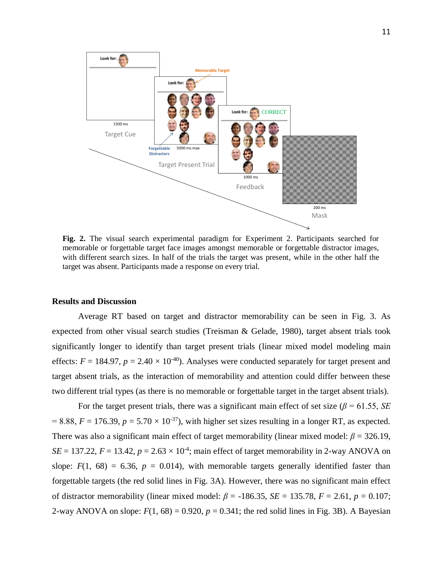

**Fig. 2.** The visual search experimental paradigm for Experiment 2. Participants searched for memorable or forgettable target face images amongst memorable or forgettable distractor images, with different search sizes. In half of the trials the target was present, while in the other half the target was absent. Participants made a response on every trial.

#### **Results and Discussion**

Average RT based on target and distractor memorability can be seen in Fig. 3. As expected from other visual search studies (Treisman & Gelade, 1980), target absent trials took significantly longer to identify than target present trials (linear mixed model modeling main effects:  $F = 184.97$ ,  $p = 2.40 \times 10^{-40}$ ). Analyses were conducted separately for target present and target absent trials, as the interaction of memorability and attention could differ between these two different trial types (as there is no memorable or forgettable target in the target absent trials).

For the target present trials, there was a significant main effect of set size ( $\beta$  = 61.55, *SE*)  $= 8.88, F = 176.39, p = 5.70 \times 10^{-37}$ , with higher set sizes resulting in a longer RT, as expected. There was also a significant main effect of target memorability (linear mixed model:  $\beta$  = 326.19,  $SE = 137.22$ ,  $F = 13.42$ ,  $p = 2.63 \times 10^{-4}$ ; main effect of target memorability in 2-way ANOVA on slope:  $F(1, 68) = 6.36$ ,  $p = 0.014$ ), with memorable targets generally identified faster than forgettable targets (the red solid lines in Fig. 3A). However, there was no significant main effect of distractor memorability (linear mixed model:  $\beta$  = -186.35, *SE* = 135.78, *F* = 2.61, *p* = 0.107; 2-way ANOVA on slope:  $F(1, 68) = 0.920$ ,  $p = 0.341$ ; the red solid lines in Fig. 3B). A Bayesian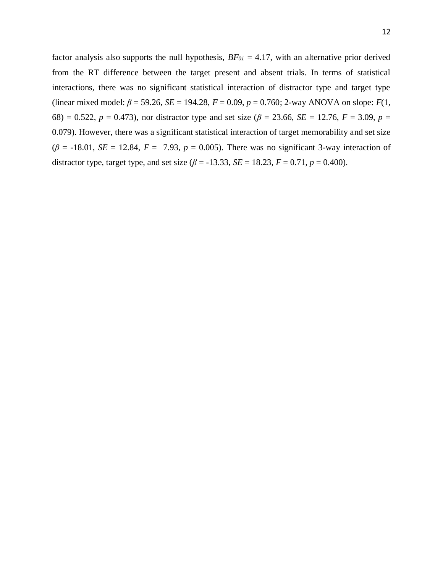factor analysis also supports the null hypothesis, *BF<sup>01</sup>* = 4.17, with an alternative prior derived from the RT difference between the target present and absent trials. In terms of statistical interactions, there was no significant statistical interaction of distractor type and target type (linear mixed model: *β* = 59.26, *SE* = 194.28, *F* = 0.09, *p* = 0.760; 2-way ANOVA on slope: *F*(1, 68) = 0.522,  $p = 0.473$ , nor distractor type and set size ( $\beta = 23.66$ ,  $SE = 12.76$ ,  $F = 3.09$ ,  $p =$ 0.079). However, there was a significant statistical interaction of target memorability and set size  $(\beta = -18.01, SE = 12.84, F = 7.93, p = 0.005)$ . There was no significant 3-way interaction of distractor type, target type, and set size ( $\beta$  = -13.33, *SE* = 18.23, *F* = 0.71, *p* = 0.400).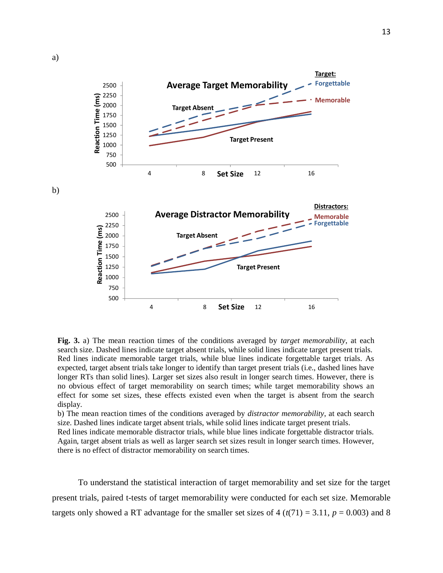

**Fig. 3.** a) The mean reaction times of the conditions averaged by *target memorability*, at each search size. Dashed lines indicate target absent trials, while solid lines indicate target present trials. Red lines indicate memorable target trials, while blue lines indicate forgettable target trials. As expected, target absent trials take longer to identify than target present trials (i.e., dashed lines have longer RTs than solid lines). Larger set sizes also result in longer search times. However, there is no obvious effect of target memorability on search times; while target memorability shows an effect for some set sizes, these effects existed even when the target is absent from the search display.

b) The mean reaction times of the conditions averaged by *distractor memorability*, at each search size. Dashed lines indicate target absent trials, while solid lines indicate target present trials.

Red lines indicate memorable distractor trials, while blue lines indicate forgettable distractor trials. Again, target absent trials as well as larger search set sizes result in longer search times. However, there is no effect of distractor memorability on search times.

To understand the statistical interaction of target memorability and set size for the target present trials, paired t-tests of target memorability were conducted for each set size. Memorable targets only showed a RT advantage for the smaller set sizes of  $4 (t(71) = 3.11, p = 0.003)$  and 8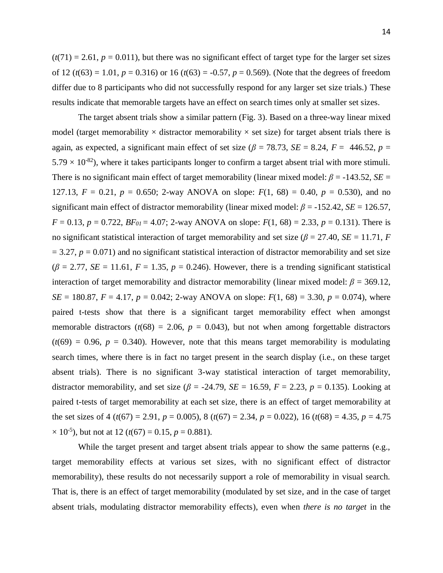$(t(71) = 2.61, p = 0.011)$ , but there was no significant effect of target type for the larger set sizes of 12 ( $t(63) = 1.01$ ,  $p = 0.316$ ) or 16 ( $t(63) = -0.57$ ,  $p = 0.569$ ). (Note that the degrees of freedom differ due to 8 participants who did not successfully respond for any larger set size trials.) These results indicate that memorable targets have an effect on search times only at smaller set sizes.

The target absent trials show a similar pattern (Fig. 3). Based on a three-way linear mixed model (target memorability  $\times$  distractor memorability  $\times$  set size) for target absent trials there is again, as expected, a significant main effect of set size ( $\beta$  = 78.73, *SE* = 8.24, *F* = 446.52, *p* =  $5.79 \times 10^{-82}$ ), where it takes participants longer to confirm a target absent trial with more stimuli. There is no significant main effect of target memorability (linear mixed model:  $\beta$  = -143.52, *SE* = 127.13,  $F = 0.21$ ,  $p = 0.650$ ; 2-way ANOVA on slope:  $F(1, 68) = 0.40$ ,  $p = 0.530$ ), and no significant main effect of distractor memorability (linear mixed model: *β* = -152.42, *SE* = 126.57, *F* = 0.13, *p* = 0.722, *BF*<sub>01</sub> = 4.07; 2-way ANOVA on slope: *F*(1, 68) = 2.33, *p* = 0.131). There is no significant statistical interaction of target memorability and set size ( $\beta$  = 27.40, *SE* = 11.71, *F*  $= 3.27$ ,  $p = 0.071$ ) and no significant statistical interaction of distractor memorability and set size  $(\beta = 2.77, SE = 11.61, F = 1.35, p = 0.246)$ . However, there is a trending significant statistical interaction of target memorability and distractor memorability (linear mixed model:  $\beta = 369.12$ , *SE* = 180.87, *F* = 4.17, *p* = 0.042; 2-way ANOVA on slope:  $F(1, 68) = 3.30$ , *p* = 0.074), where paired t-tests show that there is a significant target memorability effect when amongst memorable distractors  $(t(68) = 2.06, p = 0.043)$ , but not when among forgettable distractors  $(t(69) = 0.96, p = 0.340)$ . However, note that this means target memorability is modulating search times, where there is in fact no target present in the search display (i.e., on these target absent trials). There is no significant 3-way statistical interaction of target memorability, distractor memorability, and set size ( $\beta$  = -24.79, *SE* = 16.59, *F* = 2.23, *p* = 0.135). Looking at paired t-tests of target memorability at each set size, there is an effect of target memorability at the set sizes of 4 ( $t(67) = 2.91$ ,  $p = 0.005$ ), 8 ( $t(67) = 2.34$ ,  $p = 0.022$ ), 16 ( $t(68) = 4.35$ ,  $p = 4.75$  $\times$  10<sup>-5</sup>), but not at 12 (*t*(67) = 0.15, *p* = 0.881).

While the target present and target absent trials appear to show the same patterns (e.g., target memorability effects at various set sizes, with no significant effect of distractor memorability), these results do not necessarily support a role of memorability in visual search. That is, there is an effect of target memorability (modulated by set size, and in the case of target absent trials, modulating distractor memorability effects), even when *there is no target* in the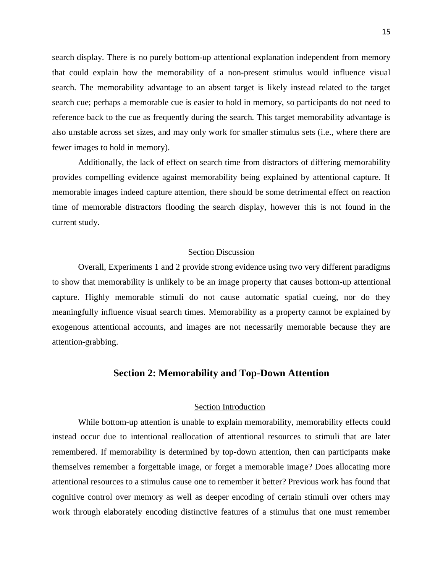search display. There is no purely bottom-up attentional explanation independent from memory that could explain how the memorability of a non-present stimulus would influence visual search. The memorability advantage to an absent target is likely instead related to the target search cue; perhaps a memorable cue is easier to hold in memory, so participants do not need to reference back to the cue as frequently during the search. This target memorability advantage is also unstable across set sizes, and may only work for smaller stimulus sets (i.e., where there are fewer images to hold in memory).

Additionally, the lack of effect on search time from distractors of differing memorability provides compelling evidence against memorability being explained by attentional capture. If memorable images indeed capture attention, there should be some detrimental effect on reaction time of memorable distractors flooding the search display, however this is not found in the current study.

#### Section Discussion

Overall, Experiments 1 and 2 provide strong evidence using two very different paradigms to show that memorability is unlikely to be an image property that causes bottom-up attentional capture. Highly memorable stimuli do not cause automatic spatial cueing, nor do they meaningfully influence visual search times. Memorability as a property cannot be explained by exogenous attentional accounts, and images are not necessarily memorable because they are attention-grabbing.

# **Section 2: Memorability and Top-Down Attention**

#### Section Introduction

While bottom-up attention is unable to explain memorability, memorability effects could instead occur due to intentional reallocation of attentional resources to stimuli that are later remembered. If memorability is determined by top-down attention, then can participants make themselves remember a forgettable image, or forget a memorable image? Does allocating more attentional resources to a stimulus cause one to remember it better? Previous work has found that cognitive control over memory as well as deeper encoding of certain stimuli over others may work through elaborately encoding distinctive features of a stimulus that one must remember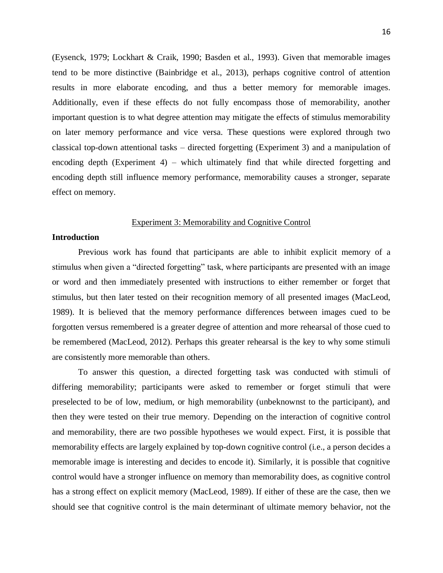(Eysenck, 1979; Lockhart & Craik, 1990; Basden et al., 1993). Given that memorable images tend to be more distinctive (Bainbridge et al., 2013), perhaps cognitive control of attention results in more elaborate encoding, and thus a better memory for memorable images. Additionally, even if these effects do not fully encompass those of memorability, another important question is to what degree attention may mitigate the effects of stimulus memorability on later memory performance and vice versa. These questions were explored through two classical top-down attentional tasks – directed forgetting (Experiment 3) and a manipulation of encoding depth (Experiment 4) – which ultimately find that while directed forgetting and encoding depth still influence memory performance, memorability causes a stronger, separate effect on memory.

#### Experiment 3: Memorability and Cognitive Control

# **Introduction**

Previous work has found that participants are able to inhibit explicit memory of a stimulus when given a "directed forgetting" task, where participants are presented with an image or word and then immediately presented with instructions to either remember or forget that stimulus, but then later tested on their recognition memory of all presented images (MacLeod, 1989). It is believed that the memory performance differences between images cued to be forgotten versus remembered is a greater degree of attention and more rehearsal of those cued to be remembered (MacLeod, 2012). Perhaps this greater rehearsal is the key to why some stimuli are consistently more memorable than others.

To answer this question, a directed forgetting task was conducted with stimuli of differing memorability; participants were asked to remember or forget stimuli that were preselected to be of low, medium, or high memorability (unbeknownst to the participant), and then they were tested on their true memory. Depending on the interaction of cognitive control and memorability, there are two possible hypotheses we would expect. First, it is possible that memorability effects are largely explained by top-down cognitive control (i.e., a person decides a memorable image is interesting and decides to encode it). Similarly, it is possible that cognitive control would have a stronger influence on memory than memorability does, as cognitive control has a strong effect on explicit memory (MacLeod, 1989). If either of these are the case, then we should see that cognitive control is the main determinant of ultimate memory behavior, not the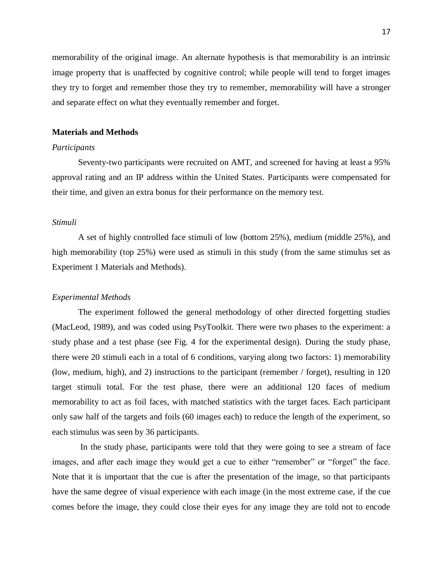memorability of the original image. An alternate hypothesis is that memorability is an intrinsic image property that is unaffected by cognitive control; while people will tend to forget images they try to forget and remember those they try to remember, memorability will have a stronger and separate effect on what they eventually remember and forget.

#### **Materials and Methods**

# *Participants*

Seventy-two participants were recruited on AMT, and screened for having at least a 95% approval rating and an IP address within the United States. Participants were compensated for their time, and given an extra bonus for their performance on the memory test.

#### *Stimuli*

A set of highly controlled face stimuli of low (bottom 25%), medium (middle 25%), and high memorability (top 25%) were used as stimuli in this study (from the same stimulus set as Experiment 1 Materials and Methods).

#### *Experimental Methods*

The experiment followed the general methodology of other directed forgetting studies (MacLeod, 1989), and was coded using PsyToolkit. There were two phases to the experiment: a study phase and a test phase (see Fig. 4 for the experimental design). During the study phase, there were 20 stimuli each in a total of 6 conditions, varying along two factors: 1) memorability (low, medium, high), and 2) instructions to the participant (remember / forget), resulting in 120 target stimuli total. For the test phase, there were an additional 120 faces of medium memorability to act as foil faces, with matched statistics with the target faces. Each participant only saw half of the targets and foils (60 images each) to reduce the length of the experiment, so each stimulus was seen by 36 participants.

In the study phase, participants were told that they were going to see a stream of face images, and after each image they would get a cue to either "remember" or "forget" the face. Note that it is important that the cue is after the presentation of the image, so that participants have the same degree of visual experience with each image (in the most extreme case, if the cue comes before the image, they could close their eyes for any image they are told not to encode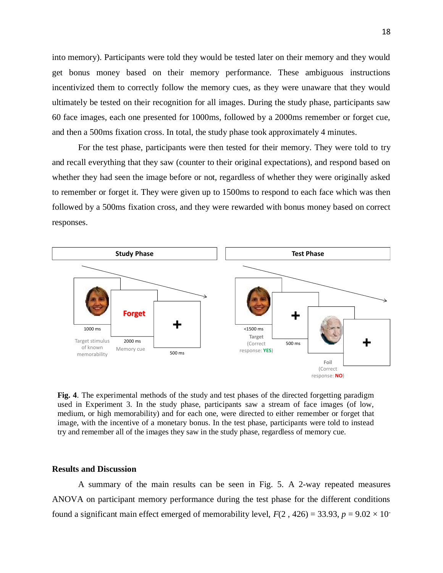into memory). Participants were told they would be tested later on their memory and they would get bonus money based on their memory performance. These ambiguous instructions incentivized them to correctly follow the memory cues, as they were unaware that they would ultimately be tested on their recognition for all images. During the study phase, participants saw 60 face images, each one presented for 1000ms, followed by a 2000ms remember or forget cue, and then a 500ms fixation cross. In total, the study phase took approximately 4 minutes.

For the test phase, participants were then tested for their memory. They were told to try and recall everything that they saw (counter to their original expectations), and respond based on whether they had seen the image before or not, regardless of whether they were originally asked to remember or forget it. They were given up to 1500ms to respond to each face which was then followed by a 500ms fixation cross, and they were rewarded with bonus money based on correct responses.



**Fig. 4**. The experimental methods of the study and test phases of the directed forgetting paradigm used in Experiment 3. In the study phase, participants saw a stream of face images (of low, medium, or high memorability) and for each one, were directed to either remember or forget that image, with the incentive of a monetary bonus. In the test phase, participants were told to instead try and remember all of the images they saw in the study phase, regardless of memory cue.

#### **Results and Discussion**

A summary of the main results can be seen in Fig. 5. A 2-way repeated measures ANOVA on participant memory performance during the test phase for the different conditions found a significant main effect emerged of memorability level,  $F(2, 426) = 33.93$ ,  $p = 9.02 \times 10^{-7}$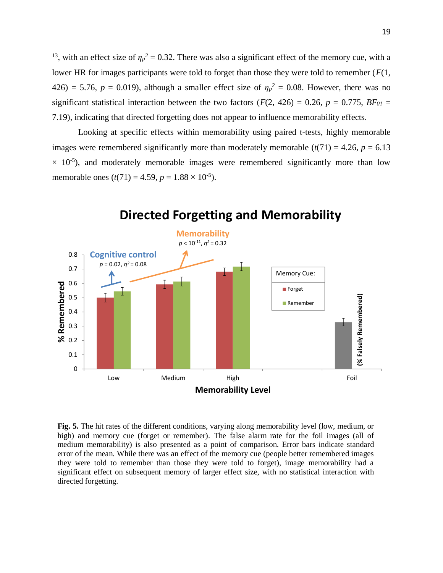<sup>13</sup>, with an effect size of  $\eta_p^2 = 0.32$ . There was also a significant effect of the memory cue, with a lower HR for images participants were told to forget than those they were told to remember (*F*(1, 426) = 5.76,  $p = 0.019$ ), although a smaller effect size of  $\eta_p^2 = 0.08$ . However, there was no significant statistical interaction between the two factors ( $F(2, 426) = 0.26$ ,  $p = 0.775$ ,  $BF_{01} =$ 7.19), indicating that directed forgetting does not appear to influence memorability effects.

Looking at specific effects within memorability using paired t-tests, highly memorable images were remembered significantly more than moderately memorable  $(t(71) = 4.26, p = 6.13$  $\times$  10<sup>-5</sup>), and moderately memorable images were remembered significantly more than low memorable ones  $(t(71) = 4.59, p = 1.88 \times 10^{-5})$ .



# **Directed Forgetting and Memorability**

**Fig. 5.** The hit rates of the different conditions, varying along memorability level (low, medium, or high) and memory cue (forget or remember). The false alarm rate for the foil images (all of medium memorability) is also presented as a point of comparison. Error bars indicate standard error of the mean. While there was an effect of the memory cue (people better remembered images they were told to remember than those they were told to forget), image memorability had a significant effect on subsequent memory of larger effect size, with no statistical interaction with directed forgetting.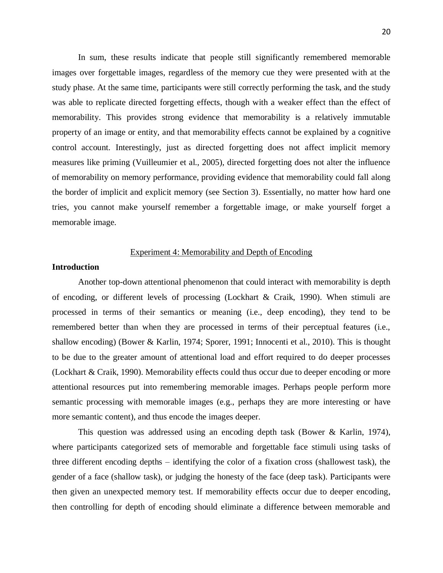In sum, these results indicate that people still significantly remembered memorable images over forgettable images, regardless of the memory cue they were presented with at the study phase. At the same time, participants were still correctly performing the task, and the study was able to replicate directed forgetting effects, though with a weaker effect than the effect of memorability. This provides strong evidence that memorability is a relatively immutable property of an image or entity, and that memorability effects cannot be explained by a cognitive control account. Interestingly, just as directed forgetting does not affect implicit memory measures like priming (Vuilleumier et al., 2005), directed forgetting does not alter the influence of memorability on memory performance, providing evidence that memorability could fall along the border of implicit and explicit memory (see Section 3). Essentially, no matter how hard one tries, you cannot make yourself remember a forgettable image, or make yourself forget a memorable image.

#### Experiment 4: Memorability and Depth of Encoding

# **Introduction**

Another top-down attentional phenomenon that could interact with memorability is depth of encoding, or different levels of processing (Lockhart & Craik, 1990). When stimuli are processed in terms of their semantics or meaning (i.e., deep encoding), they tend to be remembered better than when they are processed in terms of their perceptual features (i.e., shallow encoding) (Bower & Karlin, 1974; Sporer, 1991; Innocenti et al., 2010). This is thought to be due to the greater amount of attentional load and effort required to do deeper processes (Lockhart & Craik, 1990). Memorability effects could thus occur due to deeper encoding or more attentional resources put into remembering memorable images. Perhaps people perform more semantic processing with memorable images (e.g., perhaps they are more interesting or have more semantic content), and thus encode the images deeper.

This question was addressed using an encoding depth task (Bower & Karlin, 1974), where participants categorized sets of memorable and forgettable face stimuli using tasks of three different encoding depths – identifying the color of a fixation cross (shallowest task), the gender of a face (shallow task), or judging the honesty of the face (deep task). Participants were then given an unexpected memory test. If memorability effects occur due to deeper encoding, then controlling for depth of encoding should eliminate a difference between memorable and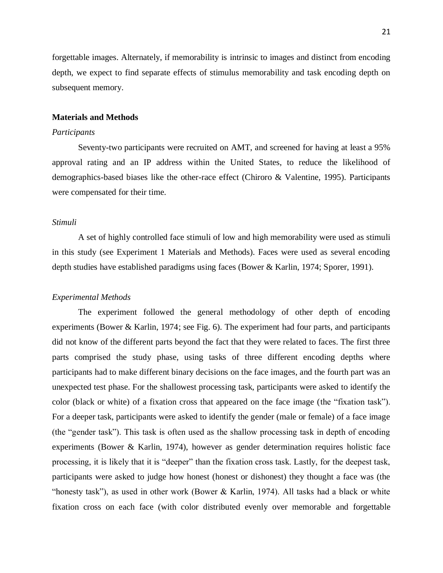forgettable images. Alternately, if memorability is intrinsic to images and distinct from encoding depth, we expect to find separate effects of stimulus memorability and task encoding depth on subsequent memory.

#### **Materials and Methods**

### *Participants*

Seventy-two participants were recruited on AMT, and screened for having at least a 95% approval rating and an IP address within the United States, to reduce the likelihood of demographics-based biases like the other-race effect (Chiroro & Valentine, 1995). Participants were compensated for their time.

#### *Stimuli*

A set of highly controlled face stimuli of low and high memorability were used as stimuli in this study (see Experiment 1 Materials and Methods). Faces were used as several encoding depth studies have established paradigms using faces (Bower & Karlin, 1974; Sporer, 1991).

# *Experimental Methods*

The experiment followed the general methodology of other depth of encoding experiments (Bower & Karlin, 1974; see Fig. 6). The experiment had four parts, and participants did not know of the different parts beyond the fact that they were related to faces. The first three parts comprised the study phase, using tasks of three different encoding depths where participants had to make different binary decisions on the face images, and the fourth part was an unexpected test phase. For the shallowest processing task, participants were asked to identify the color (black or white) of a fixation cross that appeared on the face image (the "fixation task"). For a deeper task, participants were asked to identify the gender (male or female) of a face image (the "gender task"). This task is often used as the shallow processing task in depth of encoding experiments (Bower & Karlin, 1974), however as gender determination requires holistic face processing, it is likely that it is "deeper" than the fixation cross task. Lastly, for the deepest task, participants were asked to judge how honest (honest or dishonest) they thought a face was (the "honesty task"), as used in other work (Bower & Karlin, 1974). All tasks had a black or white fixation cross on each face (with color distributed evenly over memorable and forgettable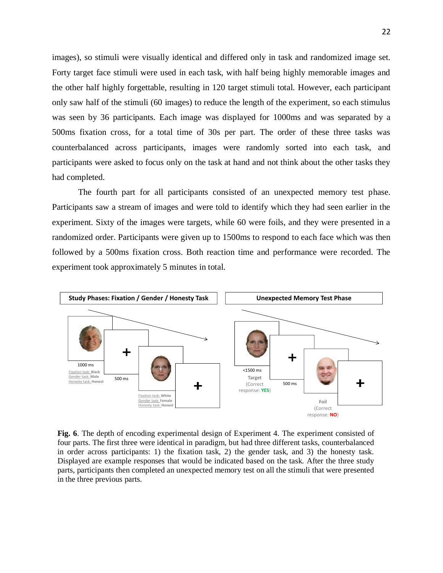images), so stimuli were visually identical and differed only in task and randomized image set. Forty target face stimuli were used in each task, with half being highly memorable images and the other half highly forgettable, resulting in 120 target stimuli total. However, each participant only saw half of the stimuli (60 images) to reduce the length of the experiment, so each stimulus was seen by 36 participants. Each image was displayed for 1000ms and was separated by a 500ms fixation cross, for a total time of 30s per part. The order of these three tasks was counterbalanced across participants, images were randomly sorted into each task, and participants were asked to focus only on the task at hand and not think about the other tasks they had completed.

The fourth part for all participants consisted of an unexpected memory test phase. Participants saw a stream of images and were told to identify which they had seen earlier in the experiment. Sixty of the images were targets, while 60 were foils, and they were presented in a randomized order. Participants were given up to 1500ms to respond to each face which was then followed by a 500ms fixation cross. Both reaction time and performance were recorded. The experiment took approximately 5 minutes in total.



Fig. 6. The depth of encoding experimental design of Experiment 4. The experiment consisted of four parts. The first three were identical in paradigm, but had three different tasks, counterbalanced in order across participants: 1) the fixation task, 2) the gender task, and 3) the honesty task. Displayed are example responses that would be indicated based on the task. After the three study parts, participants then completed an unexpected memory test on all the stimuli that were presented in the three previous parts.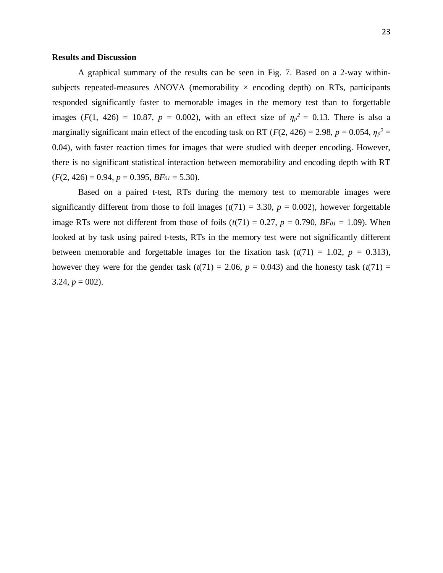#### **Results and Discussion**

A graphical summary of the results can be seen in Fig. 7. Based on a 2-way withinsubjects repeated-measures ANOVA (memorability  $\times$  encoding depth) on RTs, participants responded significantly faster to memorable images in the memory test than to forgettable images ( $F(1, 426) = 10.87$ ,  $p = 0.002$ ), with an effect size of  $\eta p^2 = 0.13$ . There is also a marginally significant main effect of the encoding task on RT ( $F(2, 426) = 2.98$ ,  $p = 0.054$ ,  $\eta_p^2 =$ 0.04), with faster reaction times for images that were studied with deeper encoding. However, there is no significant statistical interaction between memorability and encoding depth with RT  $(F(2, 426) = 0.94, p = 0.395, BF_{01} = 5.30).$ 

Based on a paired t-test, RTs during the memory test to memorable images were significantly different from those to foil images  $(t(71) = 3.30, p = 0.002)$ , however forgettable image RTs were not different from those of foils  $(t(71) = 0.27, p = 0.790, BF_{01} = 1.09)$ . When looked at by task using paired t-tests, RTs in the memory test were not significantly different between memorable and forgettable images for the fixation task  $(t(71) = 1.02, p = 0.313)$ , however they were for the gender task  $(t(71) = 2.06, p = 0.043)$  and the honesty task  $(t(71) =$ 3.24,  $p = 002$ ).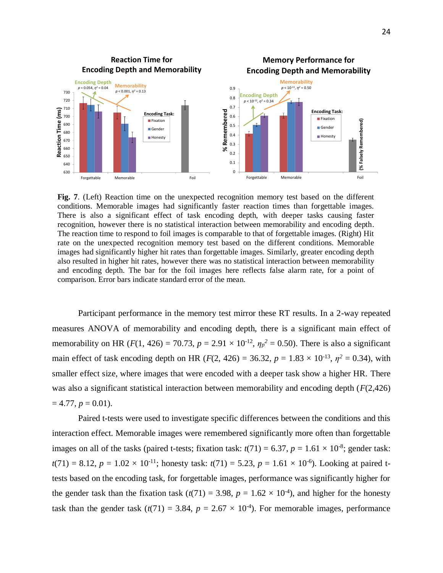

**Fig. 7**. (Left) Reaction time on the unexpected recognition memory test based on the different conditions. Memorable images had significantly faster reaction times than forgettable images. There is also a significant effect of task encoding depth, with deeper tasks causing faster recognition, however there is no statistical interaction between memorability and encoding depth. The reaction time to respond to foil images is comparable to that of forgettable images. (Right) Hit rate on the unexpected recognition memory test based on the different conditions. Memorable images had significantly higher hit rates than forgettable images. Similarly, greater encoding depth also resulted in higher hit rates, however there was no statistical interaction between memorability and encoding depth. The bar for the foil images here reflects false alarm rate, for a point of comparison. Error bars indicate standard error of the mean.

Participant performance in the memory test mirror these RT results. In a 2-way repeated measures ANOVA of memorability and encoding depth, there is a significant main effect of memorability on HR ( $F(1, 426) = 70.73$ ,  $p = 2.91 \times 10^{-12}$ ,  $\eta_p^2 = 0.50$ ). There is also a significant main effect of task encoding depth on HR ( $F(2, 426) = 36.32$ ,  $p = 1.83 \times 10^{-13}$ ,  $\eta^2 = 0.34$ ), with smaller effect size, where images that were encoded with a deeper task show a higher HR. There was also a significant statistical interaction between memorability and encoding depth (*F*(2,426)  $= 4.77, p = 0.01$ .

Paired t-tests were used to investigate specific differences between the conditions and this interaction effect. Memorable images were remembered significantly more often than forgettable images on all of the tasks (paired t-tests; fixation task:  $t(71) = 6.37$ ,  $p = 1.61 \times 10^{-8}$ ; gender task:  $t(71) = 8.12, p = 1.02 \times 10^{-11}$ ; honesty task:  $t(71) = 5.23, p = 1.61 \times 10^{-6}$ ). Looking at paired ttests based on the encoding task, for forgettable images, performance was significantly higher for the gender task than the fixation task  $(t(71) = 3.98, p = 1.62 \times 10^{-4})$ , and higher for the honesty task than the gender task  $(t(71) = 3.84, p = 2.67 \times 10^{-4})$ . For memorable images, performance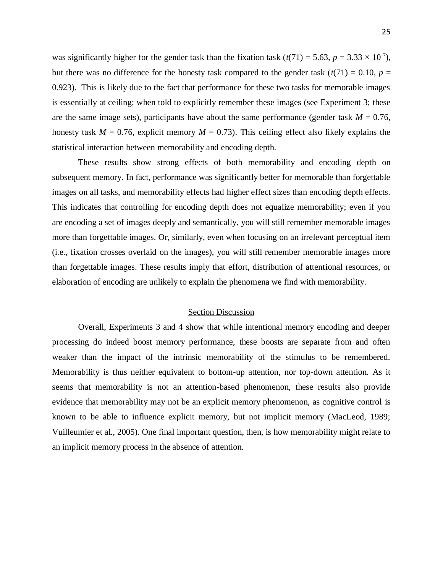was significantly higher for the gender task than the fixation task  $(t(71) = 5.63, p = 3.33 \times 10^{-7})$ , but there was no difference for the honesty task compared to the gender task  $(t(71) = 0.10, p =$ 0.923). This is likely due to the fact that performance for these two tasks for memorable images is essentially at ceiling; when told to explicitly remember these images (see Experiment 3; these are the same image sets), participants have about the same performance (gender task  $M = 0.76$ , honesty task  $M = 0.76$ , explicit memory  $M = 0.73$ ). This ceiling effect also likely explains the statistical interaction between memorability and encoding depth.

These results show strong effects of both memorability and encoding depth on subsequent memory. In fact, performance was significantly better for memorable than forgettable images on all tasks, and memorability effects had higher effect sizes than encoding depth effects. This indicates that controlling for encoding depth does not equalize memorability; even if you are encoding a set of images deeply and semantically, you will still remember memorable images more than forgettable images. Or, similarly, even when focusing on an irrelevant perceptual item (i.e., fixation crosses overlaid on the images), you will still remember memorable images more than forgettable images. These results imply that effort, distribution of attentional resources, or elaboration of encoding are unlikely to explain the phenomena we find with memorability.

#### Section Discussion

Overall, Experiments 3 and 4 show that while intentional memory encoding and deeper processing do indeed boost memory performance, these boosts are separate from and often weaker than the impact of the intrinsic memorability of the stimulus to be remembered. Memorability is thus neither equivalent to bottom-up attention, nor top-down attention. As it seems that memorability is not an attention-based phenomenon, these results also provide evidence that memorability may not be an explicit memory phenomenon, as cognitive control is known to be able to influence explicit memory, but not implicit memory (MacLeod, 1989; Vuilleumier et al., 2005). One final important question, then, is how memorability might relate to an implicit memory process in the absence of attention.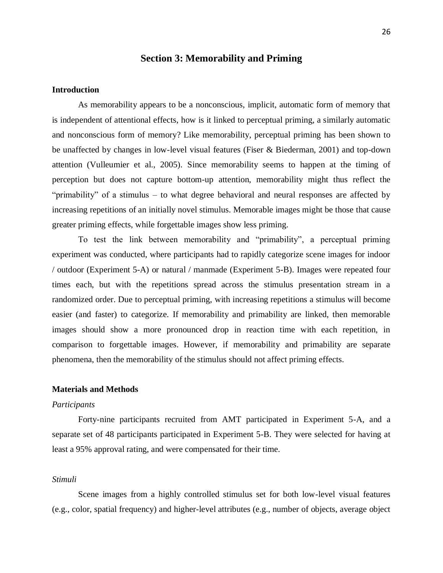# **Section 3: Memorability and Priming**

### **Introduction**

As memorability appears to be a nonconscious, implicit, automatic form of memory that is independent of attentional effects, how is it linked to perceptual priming, a similarly automatic and nonconscious form of memory? Like memorability, perceptual priming has been shown to be unaffected by changes in low-level visual features (Fiser & Biederman, 2001) and top-down attention (Vulleumier et al., 2005). Since memorability seems to happen at the timing of perception but does not capture bottom-up attention, memorability might thus reflect the "primability" of a stimulus – to what degree behavioral and neural responses are affected by increasing repetitions of an initially novel stimulus. Memorable images might be those that cause greater priming effects, while forgettable images show less priming.

To test the link between memorability and "primability", a perceptual priming experiment was conducted, where participants had to rapidly categorize scene images for indoor / outdoor (Experiment 5-A) or natural / manmade (Experiment 5-B). Images were repeated four times each, but with the repetitions spread across the stimulus presentation stream in a randomized order. Due to perceptual priming, with increasing repetitions a stimulus will become easier (and faster) to categorize. If memorability and primability are linked, then memorable images should show a more pronounced drop in reaction time with each repetition, in comparison to forgettable images. However, if memorability and primability are separate phenomena, then the memorability of the stimulus should not affect priming effects.

# **Materials and Methods**

#### *Participants*

Forty-nine participants recruited from AMT participated in Experiment 5-A, and a separate set of 48 participants participated in Experiment 5-B. They were selected for having at least a 95% approval rating, and were compensated for their time.

# *Stimuli*

Scene images from a highly controlled stimulus set for both low-level visual features (e.g., color, spatial frequency) and higher-level attributes (e.g., number of objects, average object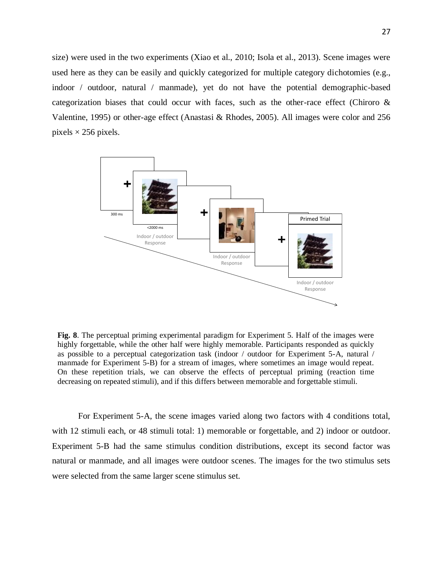size) were used in the two experiments (Xiao et al., 2010; Isola et al., 2013). Scene images were used here as they can be easily and quickly categorized for multiple category dichotomies (e.g., indoor / outdoor, natural / manmade), yet do not have the potential demographic-based categorization biases that could occur with faces, such as the other-race effect (Chiroro & Valentine, 1995) or other-age effect (Anastasi & Rhodes, 2005). All images were color and 256 pixels  $\times$  256 pixels.



**Fig. 8**. The perceptual priming experimental paradigm for Experiment 5. Half of the images were highly forgettable, while the other half were highly memorable. Participants responded as quickly as possible to a perceptual categorization task (indoor / outdoor for Experiment 5-A, natural / manmade for Experiment 5-B) for a stream of images, where sometimes an image would repeat. On these repetition trials, we can observe the effects of perceptual priming (reaction time decreasing on repeated stimuli), and if this differs between memorable and forgettable stimuli.

For Experiment 5-A, the scene images varied along two factors with 4 conditions total, with 12 stimuli each, or 48 stimuli total: 1) memorable or forgettable, and 2) indoor or outdoor. Experiment 5-B had the same stimulus condition distributions, except its second factor was natural or manmade, and all images were outdoor scenes. The images for the two stimulus sets were selected from the same larger scene stimulus set.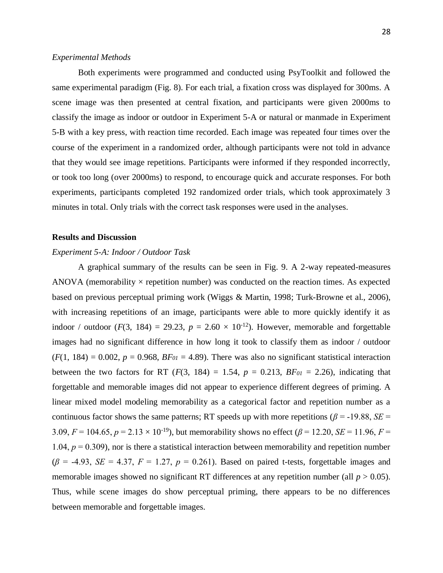#### *Experimental Methods*

Both experiments were programmed and conducted using PsyToolkit and followed the same experimental paradigm (Fig. 8). For each trial, a fixation cross was displayed for 300ms. A scene image was then presented at central fixation, and participants were given 2000ms to classify the image as indoor or outdoor in Experiment 5-A or natural or manmade in Experiment 5-B with a key press, with reaction time recorded. Each image was repeated four times over the course of the experiment in a randomized order, although participants were not told in advance that they would see image repetitions. Participants were informed if they responded incorrectly, or took too long (over 2000ms) to respond, to encourage quick and accurate responses. For both experiments, participants completed 192 randomized order trials, which took approximately 3 minutes in total. Only trials with the correct task responses were used in the analyses.

#### **Results and Discussion**

# *Experiment 5-A: Indoor / Outdoor Task*

A graphical summary of the results can be seen in Fig. 9. A 2-way repeated-measures ANOVA (memorability  $\times$  repetition number) was conducted on the reaction times. As expected based on previous perceptual priming work (Wiggs & Martin, 1998; Turk-Browne et al., 2006), with increasing repetitions of an image, participants were able to more quickly identify it as indoor / outdoor ( $F(3, 184) = 29.23$ ,  $p = 2.60 \times 10^{-12}$ ). However, memorable and forgettable images had no significant difference in how long it took to classify them as indoor / outdoor  $(F(1, 184) = 0.002$ ,  $p = 0.968$ ,  $BF_{01} = 4.89$ ). There was also no significant statistical interaction between the two factors for RT  $(F(3, 184) = 1.54, p = 0.213, BF_{01} = 2.26)$ , indicating that forgettable and memorable images did not appear to experience different degrees of priming. A linear mixed model modeling memorability as a categorical factor and repetition number as a continuous factor shows the same patterns; RT speeds up with more repetitions ( $\beta$  = -19.88, *SE* = 3.09,  $F = 104.65$ ,  $p = 2.13 \times 10^{-19}$ ), but memorability shows no effect ( $\beta = 12.20$ ,  $SE = 11.96$ ,  $F = 10.96$ 1.04,  $p = 0.309$ ), nor is there a statistical interaction between memorability and repetition number  $(\beta = -4.93, SE = 4.37, F = 1.27, p = 0.261)$ . Based on paired t-tests, forgettable images and memorable images showed no significant RT differences at any repetition number (all  $p > 0.05$ ). Thus, while scene images do show perceptual priming, there appears to be no differences between memorable and forgettable images.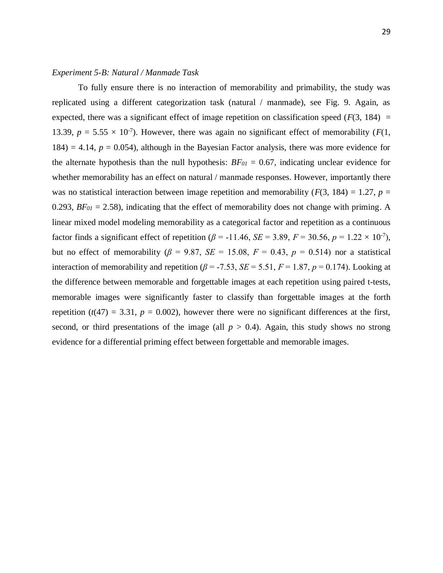#### *Experiment 5-B: Natural / Manmade Task*

To fully ensure there is no interaction of memorability and primability, the study was replicated using a different categorization task (natural / manmade), see Fig. 9. Again, as expected, there was a significant effect of image repetition on classification speed  $(F(3, 184) =$ 13.39,  $p = 5.55 \times 10^{-7}$ ). However, there was again no significant effect of memorability ( $F(1, 1)$ )  $184$ ) = 4.14,  $p = 0.054$ ), although in the Bayesian Factor analysis, there was more evidence for the alternate hypothesis than the null hypothesis: *BF<sup>01</sup>* = 0.67, indicating unclear evidence for whether memorability has an effect on natural / manmade responses. However, importantly there was no statistical interaction between image repetition and memorability ( $F(3, 184) = 1.27$ ,  $p =$ 0.293,  $BF_{0I} = 2.58$ ), indicating that the effect of memorability does not change with priming. A linear mixed model modeling memorability as a categorical factor and repetition as a continuous factor finds a significant effect of repetition ( $\beta$  = -11.46, *SE* = 3.89, *F* = 30.56, *p* = 1.22 × 10<sup>-7</sup>), but no effect of memorability ( $\beta$  = 9.87, *SE* = 15.08,  $F = 0.43$ ,  $p = 0.514$ ) nor a statistical interaction of memorability and repetition ( $\beta$  = -7.53, *SE* = 5.51, *F* = 1.87, *p* = 0.174). Looking at the difference between memorable and forgettable images at each repetition using paired t-tests, memorable images were significantly faster to classify than forgettable images at the forth repetition  $(t(47) = 3.31, p = 0.002)$ , however there were no significant differences at the first, second, or third presentations of the image (all  $p > 0.4$ ). Again, this study shows no strong evidence for a differential priming effect between forgettable and memorable images.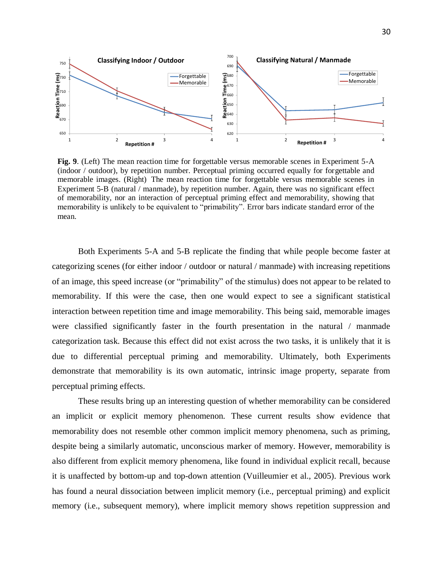

**Fig. 9**. (Left) The mean reaction time for forgettable versus memorable scenes in Experiment 5-A (indoor / outdoor), by repetition number. Perceptual priming occurred equally for forgettable and memorable images. (Right) The mean reaction time for forgettable versus memorable scenes in Experiment 5-B (natural / manmade), by repetition number. Again, there was no significant effect of memorability, nor an interaction of perceptual priming effect and memorability, showing that memorability is unlikely to be equivalent to "primability". Error bars indicate standard error of the mean.

Both Experiments 5-A and 5-B replicate the finding that while people become faster at categorizing scenes (for either indoor / outdoor or natural / manmade) with increasing repetitions of an image, this speed increase (or "primability" of the stimulus) does not appear to be related to memorability. If this were the case, then one would expect to see a significant statistical interaction between repetition time and image memorability. This being said, memorable images were classified significantly faster in the fourth presentation in the natural / manmade categorization task. Because this effect did not exist across the two tasks, it is unlikely that it is due to differential perceptual priming and memorability. Ultimately, both Experiments demonstrate that memorability is its own automatic, intrinsic image property, separate from perceptual priming effects.

These results bring up an interesting question of whether memorability can be considered an implicit or explicit memory phenomenon. These current results show evidence that memorability does not resemble other common implicit memory phenomena, such as priming, despite being a similarly automatic, unconscious marker of memory. However, memorability is also different from explicit memory phenomena, like found in individual explicit recall, because it is unaffected by bottom-up and top-down attention (Vuilleumier et al., 2005). Previous work has found a neural dissociation between implicit memory (i.e., perceptual priming) and explicit memory (i.e., subsequent memory), where implicit memory shows repetition suppression and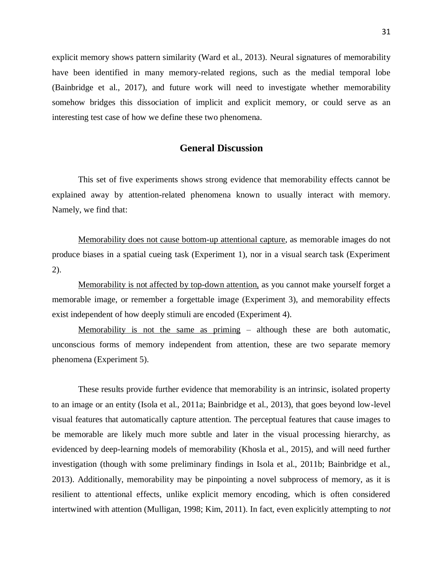explicit memory shows pattern similarity (Ward et al., 2013). Neural signatures of memorability have been identified in many memory-related regions, such as the medial temporal lobe (Bainbridge et al., 2017), and future work will need to investigate whether memorability somehow bridges this dissociation of implicit and explicit memory, or could serve as an interesting test case of how we define these two phenomena.

# **General Discussion**

This set of five experiments shows strong evidence that memorability effects cannot be explained away by attention-related phenomena known to usually interact with memory. Namely, we find that:

Memorability does not cause bottom-up attentional capture, as memorable images do not produce biases in a spatial cueing task (Experiment 1), nor in a visual search task (Experiment 2).

Memorability is not affected by top-down attention, as you cannot make yourself forget a memorable image, or remember a forgettable image (Experiment 3), and memorability effects exist independent of how deeply stimuli are encoded (Experiment 4).

Memorability is not the same as priming – although these are both automatic, unconscious forms of memory independent from attention, these are two separate memory phenomena (Experiment 5).

These results provide further evidence that memorability is an intrinsic, isolated property to an image or an entity (Isola et al., 2011a; Bainbridge et al., 2013), that goes beyond low-level visual features that automatically capture attention. The perceptual features that cause images to be memorable are likely much more subtle and later in the visual processing hierarchy, as evidenced by deep-learning models of memorability (Khosla et al., 2015), and will need further investigation (though with some preliminary findings in Isola et al., 2011b; Bainbridge et al., 2013). Additionally, memorability may be pinpointing a novel subprocess of memory, as it is resilient to attentional effects, unlike explicit memory encoding, which is often considered intertwined with attention (Mulligan, 1998; Kim, 2011). In fact, even explicitly attempting to *not*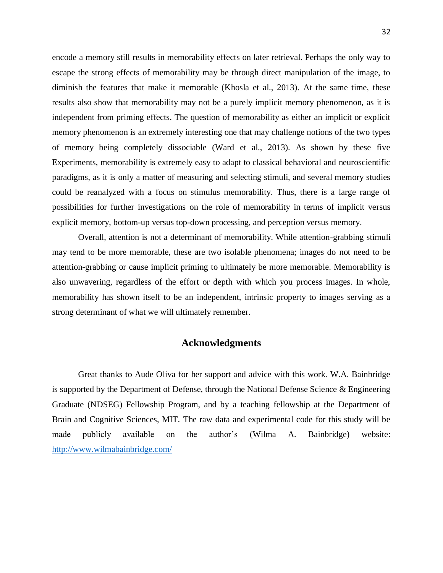encode a memory still results in memorability effects on later retrieval. Perhaps the only way to escape the strong effects of memorability may be through direct manipulation of the image, to diminish the features that make it memorable (Khosla et al., 2013). At the same time, these results also show that memorability may not be a purely implicit memory phenomenon, as it is independent from priming effects. The question of memorability as either an implicit or explicit memory phenomenon is an extremely interesting one that may challenge notions of the two types of memory being completely dissociable (Ward et al., 2013). As shown by these five Experiments, memorability is extremely easy to adapt to classical behavioral and neuroscientific paradigms, as it is only a matter of measuring and selecting stimuli, and several memory studies could be reanalyzed with a focus on stimulus memorability. Thus, there is a large range of possibilities for further investigations on the role of memorability in terms of implicit versus explicit memory, bottom-up versus top-down processing, and perception versus memory.

Overall, attention is not a determinant of memorability. While attention-grabbing stimuli may tend to be more memorable, these are two isolable phenomena; images do not need to be attention-grabbing or cause implicit priming to ultimately be more memorable. Memorability is also unwavering, regardless of the effort or depth with which you process images. In whole, memorability has shown itself to be an independent, intrinsic property to images serving as a strong determinant of what we will ultimately remember.

# **Acknowledgments**

Great thanks to Aude Oliva for her support and advice with this work. W.A. Bainbridge is supported by the Department of Defense, through the National Defense Science & Engineering Graduate (NDSEG) Fellowship Program, and by a teaching fellowship at the Department of Brain and Cognitive Sciences, MIT. The raw data and experimental code for this study will be made publicly available on the author's (Wilma A. Bainbridge) website: <http://www.wilmabainbridge.com/>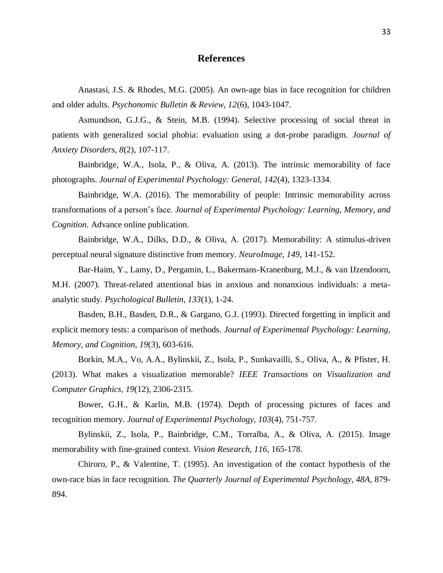# **References**

Anastasi, J.S. & Rhodes, M.G. (2005). An own-age bias in face recognition for children and older adults. *Psychonomic Bulletin & Review, 12*(6), 1043-1047.

Asmundson, G.J.G., & Stein, M.B. (1994). Selective processing of social threat in patients with generalized social phobia: evaluation using a dot-probe paradigm. *Journal of Anxiety Disorders, 8*(2), 107-117.

Bainbridge, W.A., Isola, P., & Oliva, A. (2013). The intrinsic memorability of face photographs. *Journal of Experimental Psychology: General, 142*(4), 1323-1334.

Bainbridge, W.A. (2016). The memorability of people: Intrinsic memorability across transformations of a person's face. *Journal of Experimental Psychology: Learning, Memory, and Cognition*. Advance online publication.

Bainbridge, W.A., Dilks, D.D., & Oliva, A. (2017). Memorability: A stimulus-driven perceptual neural signature distinctive from memory. *NeuroImage, 149*, 141-152.

Bar-Haim, Y., Lamy, D., Pergamin, L., Bakermans-Kranenburg, M.J., & van IJzendoorn, M.H. (2007). Threat-related attentional bias in anxious and nonanxious individuals: a metaanalytic study. *Psychological Bulletin, 133*(1), 1-24.

Basden, B.H., Basden, D.R., & Gargano, G.J. (1993). Directed forgetting in implicit and explicit memory tests: a comparison of methods. *Journal of Experimental Psychology: Learning, Memory, and Cognition, 19*(3), 603-616.

Borkin, M.A., Vo, A.A., Bylinskii, Z., Isola, P., Sunkavailli, S., Oliva, A., & Pfister, H. (2013). What makes a visualization memorable? *IEEE Transactions on Visualization and Computer Graphics, 19*(12), 2306-2315.

Bower, G.H., & Karlin, M.B. (1974). Depth of processing pictures of faces and recognition memory. *Journal of Experimental Psychology, 103*(4), 751-757.

Bylinskii, Z., Isola, P., Bainbridge, C.M., Torralba, A., & Oliva, A. (2015). Image memorability with fine-grained context. *Vision Research, 116*, 165-178.

Chiroro, P., & Valentine, T. (1995). An investigation of the contact hypothesis of the own-race bias in face recognition. *The Quarterly Journal of Experimental Psychology, 48A,* 879- 894.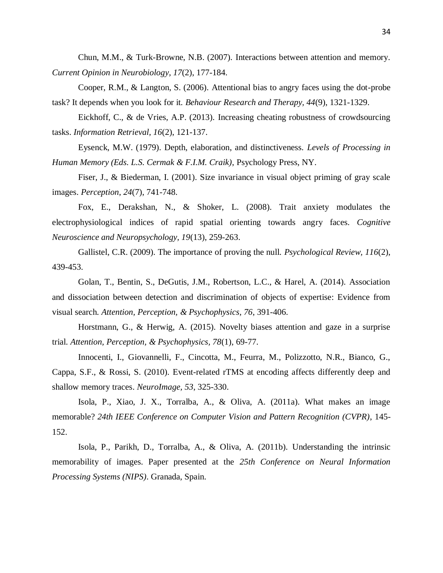Chun, M.M., & Turk-Browne, N.B. (2007). Interactions between attention and memory. *Current Opinion in Neurobiology, 17*(2), 177-184.

Cooper, R.M., & Langton, S. (2006). Attentional bias to angry faces using the dot-probe task? It depends when you look for it. *Behaviour Research and Therapy, 44*(9), 1321-1329.

Eickhoff, C., & de Vries, A.P. (2013). Increasing cheating robustness of crowdsourcing tasks. *Information Retrieval, 16*(2), 121-137.

Eysenck, M.W. (1979). Depth, elaboration, and distinctiveness. *Levels of Processing in Human Memory (Eds. L.S. Cermak & F.I.M. Craik)*, Psychology Press, NY.

Fiser, J., & Biederman, I. (2001). Size invariance in visual object priming of gray scale images. *Perception*, *24*(7), 741-748.

Fox, E., Derakshan, N., & Shoker, L. (2008). Trait anxiety modulates the electrophysiological indices of rapid spatial orienting towards angry faces. *Cognitive Neuroscience and Neuropsychology, 19*(13), 259-263.

Gallistel, C.R. (2009). The importance of proving the null. *Psychological Review, 116*(2), 439-453.

Golan, T., Bentin, S., DeGutis, J.M., Robertson, L.C., & Harel, A. (2014). Association and dissociation between detection and discrimination of objects of expertise: Evidence from visual search. *Attention, Perception, & Psychophysics, 76*, 391-406.

Horstmann, G., & Herwig, A. (2015). Novelty biases attention and gaze in a surprise trial. *Attention, Perception, & Psychophysics, 78*(1), 69-77.

Innocenti, I., Giovannelli, F., Cincotta, M., Feurra, M., Polizzotto, N.R., Bianco, G., Cappa, S.F., & Rossi, S. (2010). Event-related rTMS at encoding affects differently deep and shallow memory traces. *NeuroImage, 53*, 325-330.

Isola, P., Xiao, J. X., Torralba, A., & Oliva, A. (2011a). What makes an image memorable? *24th IEEE Conference on Computer Vision and Pattern Recognition (CVPR)*, 145- 152.

Isola, P., Parikh, D., Torralba, A., & Oliva, A. (2011b). Understanding the intrinsic memorability of images. Paper presented at the *25th Conference on Neural Information Processing Systems (NIPS)*. Granada, Spain.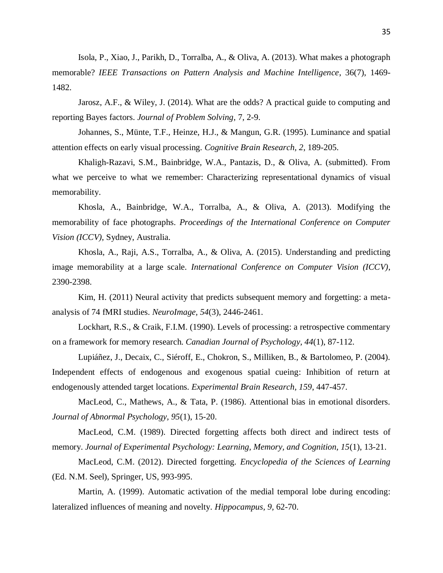Isola, P., Xiao, J., Parikh, D., Torralba, A., & Oliva, A. (2013). What makes a photograph memorable? *IEEE Transactions on Pattern Analysis and Machine Intelligence*, 36(7), 1469- 1482.

Jarosz, A.F., & Wiley, J. (2014). What are the odds? A practical guide to computing and reporting Bayes factors. *Journal of Problem Solving*, 7, 2-9.

Johannes, S., Münte, T.F., Heinze, H.J., & Mangun, G.R. (1995). Luminance and spatial attention effects on early visual processing. *Cognitive Brain Research, 2*, 189-205.

Khaligh-Razavi, S.M., Bainbridge, W.A., Pantazis, D., & Oliva, A. (submitted). From what we perceive to what we remember: Characterizing representational dynamics of visual memorability.

Khosla, A., Bainbridge, W.A., Torralba, A., & Oliva, A. (2013). Modifying the memorability of face photographs. *Proceedings of the International Conference on Computer Vision (ICCV)*, Sydney, Australia.

Khosla, A., Raji, A.S., Torralba, A., & Oliva, A. (2015). Understanding and predicting image memorability at a large scale. *International Conference on Computer Vision (ICCV)*, 2390-2398.

Kim, H. (2011) Neural activity that predicts subsequent memory and forgetting: a metaanalysis of 74 fMRI studies. *NeuroImage, 54*(3), 2446-2461.

Lockhart, R.S., & Craik, F.I.M. (1990). Levels of processing: a retrospective commentary on a framework for memory research. *Canadian Journal of Psychology, 44*(1), 87-112.

Lupiáñez, J., Decaix, C., Siéroff, E., Chokron, S., Milliken, B., & Bartolomeo, P. (2004). Independent effects of endogenous and exogenous spatial cueing: Inhibition of return at endogenously attended target locations. *Experimental Brain Research, 159*, 447-457.

MacLeod, C., Mathews, A., & Tata, P. (1986). Attentional bias in emotional disorders. *Journal of Abnormal Psychology, 95*(1), 15-20.

MacLeod, C.M. (1989). Directed forgetting affects both direct and indirect tests of memory. *Journal of Experimental Psychology: Learning, Memory, and Cognition, 15*(1), 13-21.

MacLeod, C.M. (2012). Directed forgetting. *Encyclopedia of the Sciences of Learning*  (Ed. N.M. Seel), Springer, US, 993-995.

Martin, A. (1999). Automatic activation of the medial temporal lobe during encoding: lateralized influences of meaning and novelty. *Hippocampus, 9,* 62-70.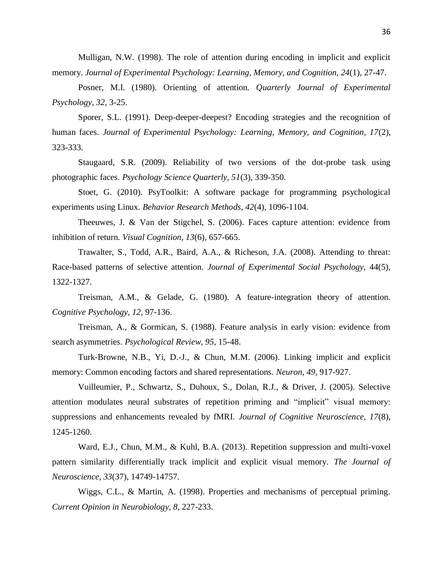Mulligan, N.W. (1998). The role of attention during encoding in implicit and explicit memory. *Journal of Experimental Psychology: Learning, Memory, and Cognition, 24*(1), 27-47.

Posner, M.I. (1980). Orienting of attention. *Quarterly Journal of Experimental Psychology, 32,* 3-25.

Sporer, S.L. (1991). Deep-deeper-deepest? Encoding strategies and the recognition of human faces. *Journal of Experimental Psychology: Learning, Memory, and Cognition, 17*(2), 323-333.

Staugaard, S.R. (2009). Reliability of two versions of the dot-probe task using photographic faces. *Psychology Science Quarterly, 51*(3), 339-350.

Stoet, G. (2010). PsyToolkit: A software package for programming psychological experiments using Linux. *Behavior Research Methods, 42*(4), 1096-1104.

Theeuwes, J. & Van der Stigchel, S. (2006). Faces capture attention: evidence from inhibition of return. *Visual Cognition, 13*(6), 657-665.

Trawalter, S., Todd, A.R., Baird, A.A., & Richeson, J.A. (2008). Attending to threat: Race-based patterns of selective attention. *Journal of Experimental Social Psychology,* 44(5), 1322-1327.

Treisman, A.M., & Gelade, G. (1980). A feature-integration theory of attention. *Cognitive Psychology, 12*, 97-136.

Treisman, A., & Gormican, S. (1988). Feature analysis in early vision: evidence from search asymmetries. *Psychological Review, 95*, 15-48.

Turk-Browne, N.B., Yi, D.-J., & Chun, M.M. (2006). Linking implicit and explicit memory: Common encoding factors and shared representations. *Neuron, 49*, 917-927.

Vuilleumier, P., Schwartz, S., Duhoux, S., Dolan, R.J., & Driver, J. (2005). Selective attention modulates neural substrates of repetition priming and "implicit" visual memory: suppressions and enhancements revealed by fMRI. *Journal of Cognitive Neuroscience, 17*(8), 1245-1260.

Ward, E.J., Chun, M.M., & Kuhl, B.A. (2013). Repetition suppression and multi-voxel pattern similarity differentially track implicit and explicit visual memory. *The Journal of Neuroscience, 33*(37), 14749-14757.

Wiggs, C.L., & Martin, A. (1998). Properties and mechanisms of perceptual priming. *Current Opinion in Neurobiology, 8*, 227-233.